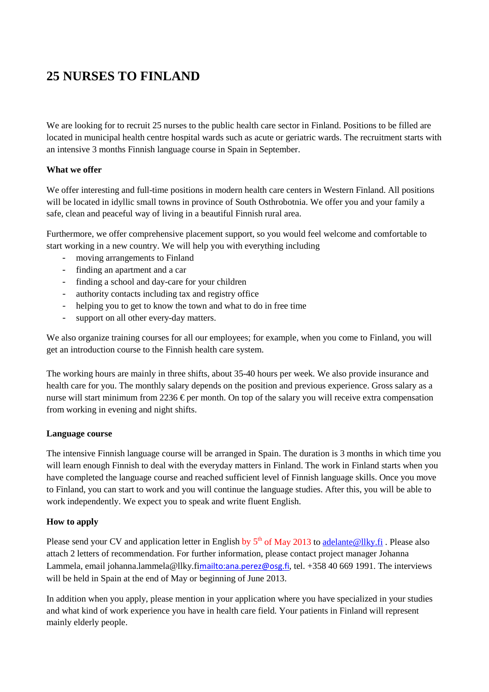## **25 NURSES TO FINLAND**

We are looking for to recruit 25 nurses to the public health care sector in Finland. Positions to be filled are located in municipal health centre hospital wards such as acute or geriatric wards. The recruitment starts with an intensive 3 months Finnish language course in Spain in September.

## **What we offer**

We offer interesting and full-time positions in modern health care centers in Western Finland. All positions will be located in idyllic small towns in province of South Osthrobotnia. We offer you and your family a safe, clean and peaceful way of living in a beautiful Finnish rural area.

Furthermore, we offer comprehensive placement support, so you would feel welcome and comfortable to start working in a new country. We will help you with everything including

- moving arrangements to Finland
- finding an apartment and a car
- finding a school and day-care for your children
- authority contacts including tax and registry office
- helping you to get to know the town and what to do in free time
- support on all other every-day matters.

We also organize training courses for all our employees; for example, when you come to Finland, you will get an introduction course to the Finnish health care system.

The working hours are mainly in three shifts, about 35-40 hours per week. We also provide insurance and health care for you. The monthly salary depends on the position and previous experience. Gross salary as a nurse will start minimum from 2236  $\epsilon$  per month. On top of the salary you will receive extra compensation from working in evening and night shifts.

## **Language course**

The intensive Finnish language course will be arranged in Spain. The duration is 3 months in which time you will learn enough Finnish to deal with the everyday matters in Finland. The work in Finland starts when you have completed the language course and reached sufficient level of Finnish language skills. Once you move to Finland, you can start to work and you will continue the language studies. After this, you will be able to work independently. We expect you to speak and write fluent English.

## **How to apply**

Please send your CV and application letter in English by  $5<sup>th</sup>$  of May 2013 to [adelante@llky.fi](mailto:adelante@llky.fi). Please also attach 2 letters of recommendation. For further information, please contact project manager Johanna Lammela, email johanna.lammela@llky.fi<mailto:ana.perez@osg.fi>, tel. +358 40 669 1991. The interviews will be held in Spain at the end of May or beginning of June 2013.

In addition when you apply, please mention in your application where you have specialized in your studies and what kind of work experience you have in health care field. Your patients in Finland will represent mainly elderly people.